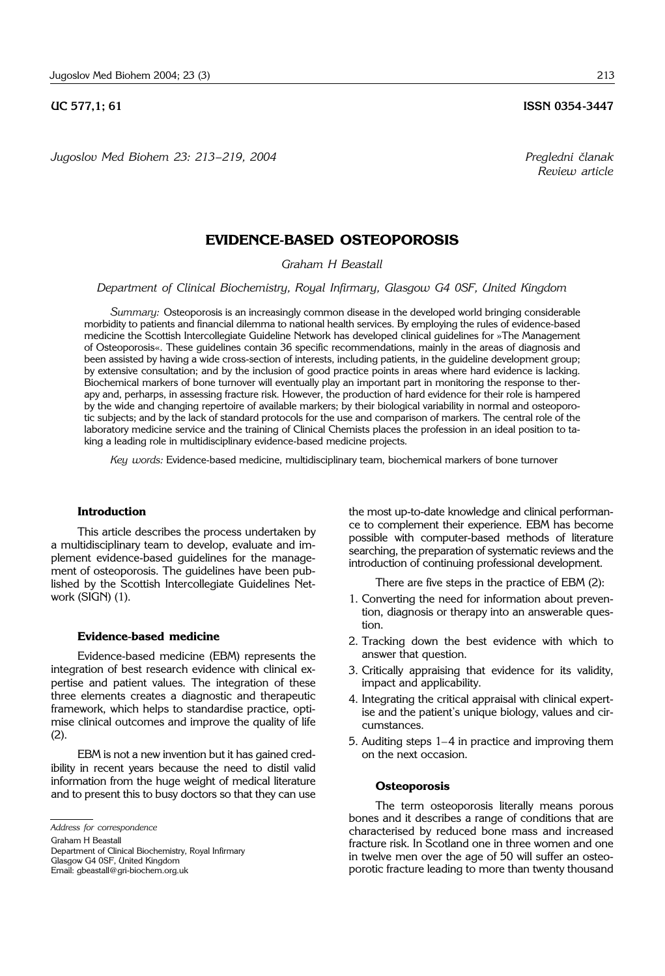*Jugoslov Med Biohem 23: 213*–*219, 2004 Pregledni ~lanak*

# **EVIDENCE-BASED OSTEOPOROSIS**

*Graham H Beastall*

*Department of Clinical Biochemistry, Royal Infirmary, Glasgow G4 0SF, United Kingdom*

*Summary:* Osteoporosis is an increasingly common disease in the developed world bringing considerable morbidity to patients and financial dilemma to national health services. By employing the rules of evidence-based medicine the Scottish Intercollegiate Guideline Network has developed clinical guidelines for »The Management of Osteoporosis«. These guidelines contain 36 specific recommendations, mainly in the areas of diagnosis and been assisted by having a wide cross-section of interests, including patients, in the guideline development group; by extensive consultation; and by the inclusion of good practice points in areas where hard evidence is lacking. Biochemical markers of bone turnover will eventually play an important part in monitoring the response to therapy and, perharps, in assessing fracture risk. However, the production of hard evidence for their role is hampered by the wide and changing repertoire of available markers; by their biological variability in normal and osteoporotic subjects; and by the lack of standard protocols for the use and comparison of markers. The central role of the laboratory medicine service and the training of Clinical Chemists places the profession in an ideal position to taking a leading role in multidisciplinary evidence-based medicine projects.

*Key words:* Evidence-based medicine, multidisciplinary team, biochemical markers of bone turnover

## **Introduction**

This article describes the process undertaken by a multidisciplinary team to develop, evaluate and implement evidence-based guidelines for the management of osteoporosis. The guidelines have been published by the Scottish Intercollegiate Guidelines Network (SIGN) (1).

#### **Evidence-based medicine**

Evidence-based medicine (EBM) represents the integration of best research evidence with clinical expertise and patient values. The integration of these three elements creates a diagnostic and therapeutic framework, which helps to standardise practice, optimise clinical outcomes and improve the quality of life (2).

EBM is not a new invention but it has gained credibility in recent years because the need to distil valid information from the huge weight of medical literature and to present this to busy doctors so that they can use

*Address for correspondence*

Graham H Beastall

Department of Clinical Biochemistry, Royal Infirmary Glasgow G4 0SF, United Kingdom Email: gbeastall@gri-biochem.org.uk

the most up-to-date knowledge and clinical performance to complement their experience. EBM has become possible with computer-based methods of literature searching, the preparation of systematic reviews and the introduction of continuing professional development.

There are five steps in the practice of EBM (2):

- 1. Converting the need for information about prevention, diagnosis or therapy into an answerable question.
- 2. Tracking down the best evidence with which to answer that question.
- 3. Critically appraising that evidence for its validity, impact and applicability.
- 4. Integrating the critical appraisal with clinical expertise and the patient's unique biology, values and circumstances.
- 5. Auditing steps 1–4 in practice and improving them on the next occasion.

#### **Osteoporosis**

The term osteoporosis literally means porous bones and it describes a range of conditions that are characterised by reduced bone mass and increased fracture risk. In Scotland one in three women and one in twelve men over the age of 50 will suffer an osteoporotic fracture leading to more than twenty thousand

*Review article*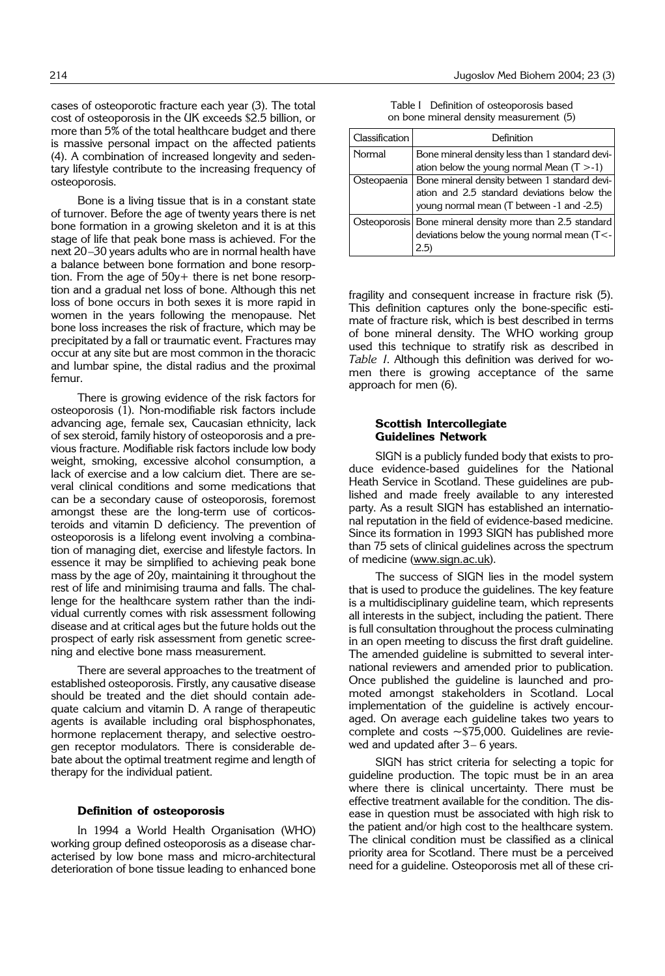cases of osteoporotic fracture each year (3). The total cost of osteoporosis in the UK exceeds \$2.5 billion, or more than 5% of the total healthcare budget and there is massive personal impact on the affected patients (4). A combination of increased longevity and sedentary lifestyle contribute to the increasing frequency of osteoporosis.

Bone is a living tissue that is in a constant state of turnover. Before the age of twenty years there is net bone formation in a growing skeleton and it is at this stage of life that peak bone mass is achieved. For the next 20–30 years adults who are in normal health have a balance between bone formation and bone resorption. From the age of 50y+ there is net bone resorption and a gradual net loss of bone. Although this net loss of bone occurs in both sexes it is more rapid in women in the years following the menopause. Net bone loss increases the risk of fracture, which may be precipitated by a fall or traumatic event. Fractures may occur at any site but are most common in the thoracic and lumbar spine, the distal radius and the proximal femur.

There is growing evidence of the risk factors for osteoporosis (1). Non-modifiable risk factors include advancing age, female sex, Caucasian ethnicity, lack of sex steroid, family history of osteoporosis and a previous fracture. Modifiable risk factors include low body weight, smoking, excessive alcohol consumption, a lack of exercise and a low calcium diet. There are several clinical conditions and some medications that can be a secondary cause of osteoporosis, foremost amongst these are the long-term use of corticosteroids and vitamin D deficiency. The prevention of osteoporosis is a lifelong event involving a combination of managing diet, exercise and lifestyle factors. In essence it may be simplified to achieving peak bone mass by the age of 20y, maintaining it throughout the rest of life and minimising trauma and falls. The challenge for the healthcare system rather than the individual currently comes with risk assessment following disease and at critical ages but the future holds out the prospect of early risk assessment from genetic screening and elective bone mass measurement.

There are several approaches to the treatment of established osteoporosis. Firstly, any causative disease should be treated and the diet should contain adequate calcium and vitamin D. A range of therapeutic agents is available including oral bisphosphonates, hormone replacement therapy, and selective oestrogen receptor modulators. There is considerable debate about the optimal treatment regime and length of therapy for the individual patient.

#### **Definition of osteoporosis**

In 1994 a World Health Organisation (WHO) working group defined osteoporosis as a disease characterised by low bone mass and micro-architectural deterioration of bone tissue leading to enhanced bone

Table I Definition of osteoporosis based on bone mineral density measurement (5)

| Classification | Definition                                                                                                     |
|----------------|----------------------------------------------------------------------------------------------------------------|
| Normal         | Bone mineral density less than 1 standard devi-<br>ation below the young normal Mean $(T > -1)$                |
|                |                                                                                                                |
| Osteopaenia    | Bone mineral density between 1 standard devi-                                                                  |
|                | ation and 2.5 standard deviations below the                                                                    |
|                | young normal mean (T between -1 and -2.5)                                                                      |
|                | Osteoporosis Bone mineral density more than 2.5 standard<br>deviations below the young normal mean (T<-<br>2.5 |

fragility and consequent increase in fracture risk (5). This definition captures only the bone-specific estimate of fracture risk, which is best described in terms of bone mineral density. The WHO working group used this technique to stratify risk as described in *Table I*. Although this definition was derived for women there is growing acceptance of the same approach for men (6).

### **Scottish Intercollegiate Guidelines Network**

SIGN is a publicly funded body that exists to produce evidence-based guidelines for the National Heath Service in Scotland. These guidelines are published and made freely available to any interested party. As a result SIGN has established an international reputation in the field of evidence-based medicine. Since its formation in 1993 SIGN has published more than 75 sets of clinical guidelines across the spectrum of medicine (www.sign.ac.uk).

The success of SIGN lies in the model system that is used to produce the guidelines. The key feature is a multidisciplinary guideline team, which represents all interests in the subject, including the patient. There is full consultation throughout the process culminating in an open meeting to discuss the first draft guideline. The amended guideline is submitted to several international reviewers and amended prior to publication. Once published the guideline is launched and promoted amongst stakeholders in Scotland. Local implementation of the guideline is actively encouraged. On average each guideline takes two years to complete and costs ∼\$75,000. Guidelines are reviewed and updated after 3– 6 years.

SIGN has strict criteria for selecting a topic for guideline production. The topic must be in an area where there is clinical uncertainty. There must be effective treatment available for the condition. The disease in question must be associated with high risk to the patient and/or high cost to the healthcare system. The clinical condition must be classified as a clinical priority area for Scotland. There must be a perceived need for a guideline. Osteoporosis met all of these cri-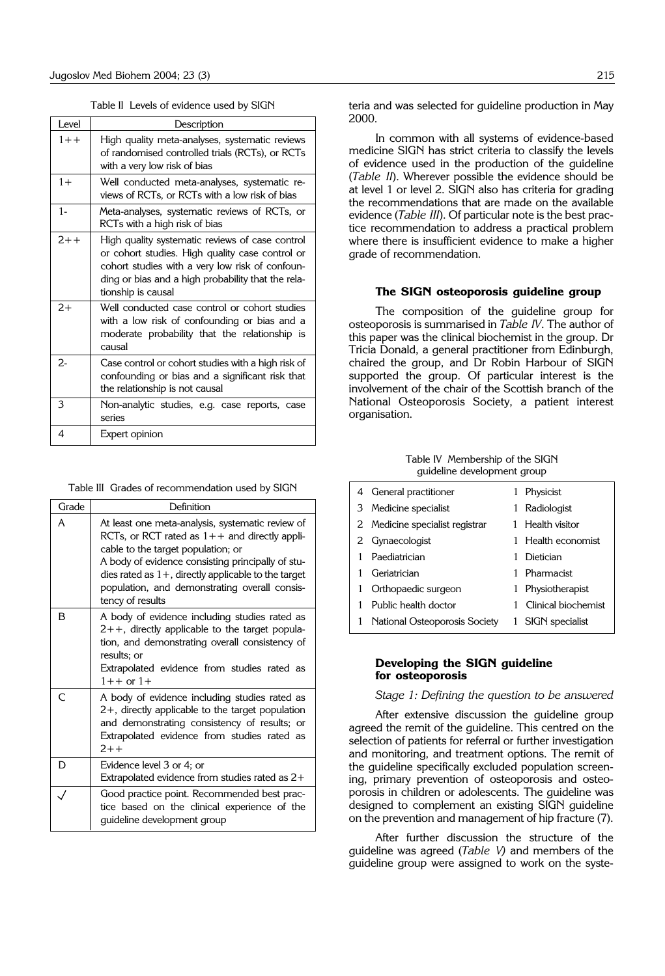Table II Levels of evidence used by SIGN

| Level   | Description                                                                                                                                                                                                                       |
|---------|-----------------------------------------------------------------------------------------------------------------------------------------------------------------------------------------------------------------------------------|
| $1 + +$ | High quality meta-analyses, systematic reviews<br>of randomised controlled trials (RCTs), or RCTs<br>with a very low risk of bias                                                                                                 |
| $1+$    | Well conducted meta-analyses, systematic re-<br>views of RCTs, or RCTs with a low risk of bias                                                                                                                                    |
| $1-$    | Meta-analyses, systematic reviews of RCTs, or<br>RCTs with a high risk of bias                                                                                                                                                    |
| $2 + +$ | High quality systematic reviews of case control<br>or cohort studies. High quality case control or<br>cohort studies with a very low risk of confoun-<br>ding or bias and a high probability that the rela-<br>tionship is causal |
| $2+$    | Well conducted case control or cohort studies<br>with a low risk of confounding or bias and a<br>moderate probability that the relationship is<br>causal                                                                          |
| $2-$    | Case control or cohort studies with a high risk of<br>confounding or bias and a significant risk that<br>the relationship is not causal                                                                                           |
| 3       | Non-analytic studies, e.g. case reports, case<br>series                                                                                                                                                                           |
| 4       | Expert opinion                                                                                                                                                                                                                    |

|  |  |  | Table III Grades of recommendation used by SIGN |  |  |  |
|--|--|--|-------------------------------------------------|--|--|--|
|--|--|--|-------------------------------------------------|--|--|--|

| Grade | Definition                                                                                                                                                                                                                                                                                                                    |
|-------|-------------------------------------------------------------------------------------------------------------------------------------------------------------------------------------------------------------------------------------------------------------------------------------------------------------------------------|
| A     | At least one meta-analysis, systematic review of<br>RCTs, or RCT rated as $1++$ and directly appli-<br>cable to the target population; or<br>A body of evidence consisting principally of stu-<br>dies rated as $1+$ , directly applicable to the target<br>population, and demonstrating overall consis-<br>tency of results |
| в     | A body of evidence including studies rated as<br>$2++$ , directly applicable to the target popula-<br>tion, and demonstrating overall consistency of<br>results: or<br>Extrapolated evidence from studies rated as<br>$1++$ or $1+$                                                                                           |
| C     | A body of evidence including studies rated as<br>$2+$ , directly applicable to the target population<br>and demonstrating consistency of results; or<br>Extrapolated evidence from studies rated as<br>$2 + +$                                                                                                                |
| D     | Evidence level 3 or 4; or<br>Extrapolated evidence from studies rated as $2+$                                                                                                                                                                                                                                                 |
|       | Good practice point. Recommended best prac-<br>tice based on the clinical experience of the<br>guideline development group                                                                                                                                                                                                    |

teria and was selected for guideline production in May 2000.

In common with all systems of evidence-based medicine SIGN has strict criteria to classify the levels of evidence used in the production of the guideline (*Table II*). Wherever possible the evidence should be at level 1 or level 2. SIGN also has criteria for grading the recommendations that are made on the available evidence (*Table III*). Of particular note is the best practice recommendation to address a practical problem where there is insufficient evidence to make a higher grade of recommendation.

## **The SIGN osteoporosis guideline group**

The composition of the guideline group for osteoporosis is summarised in *Table IV*. The author of this paper was the clinical biochemist in the group. Dr Tricia Donald, a general practitioner from Edinburgh, chaired the group, and Dr Robin Harbour of SIGN supported the group. Of particular interest is the involvement of the chair of the Scottish branch of the National Osteoporosis Society, a patient interest organisation.

#### Table IV Membership of the SIGN guideline development group

| 4 | General practitioner            |   | Physicist           |
|---|---------------------------------|---|---------------------|
| 3 | Medicine specialist             |   | Radiologist         |
|   | 2 Medicine specialist registrar |   | Health visitor      |
| 2 | Gynaecologist                   |   | Health economist    |
|   | Paediatrician                   |   | Dietician           |
|   | Geriatrician                    |   | Pharmacist          |
|   | Orthopaedic surgeon             |   | Physiotherapist     |
|   | Public health doctor            |   | Clinical biochemist |
| 1 | National Osteoporosis Society   | 1 | SIGN specialist     |
|   |                                 |   |                     |

## **Developing the SIGN guideline for osteoporosis**

*Stage 1: Defining the question to be answered*

After extensive discussion the guideline group agreed the remit of the guideline. This centred on the selection of patients for referral or further investigation and monitoring, and treatment options. The remit of the guideline specifically excluded population screening, primary prevention of osteoporosis and osteoporosis in children or adolescents. The guideline was designed to complement an existing SIGN guideline on the prevention and management of hip fracture (7).

After further discussion the structure of the guideline was agreed (*Table V)* and members of the guideline group were assigned to work on the syste-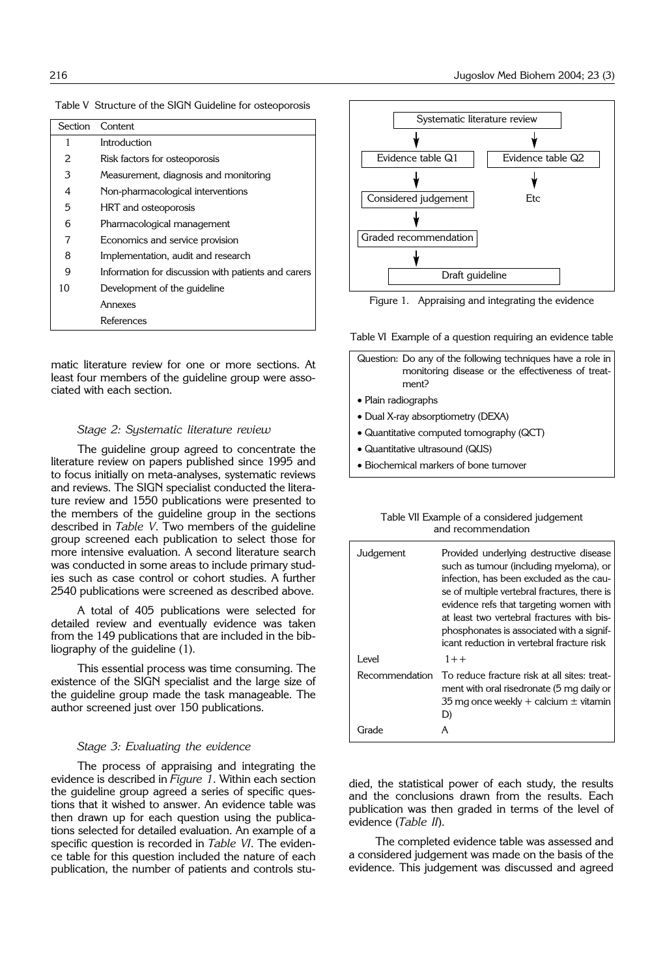| Section | Content                                             |
|---------|-----------------------------------------------------|
| 1       | Introduction                                        |
| 2       | Risk factors for osteoporosis                       |
| 3       | Measurement, diagnosis and monitoring               |
| 4       | Non-pharmacological interventions                   |
| 5       | HRT and osteoporosis                                |
| 6       | Pharmacological management                          |
|         | Economics and service provision                     |
| 8       | Implementation, audit and research                  |
| 9       | Information for discussion with patients and carers |
| 10      | Development of the guideline                        |
|         | Annexes                                             |
|         | References                                          |

Table V Structure of the SIGN Guideline for osteoporosis

matic literature review for one or more sections. At least four members of the guideline group were associated with each section.

### *Stage 2: Systematic literature review*

The guideline group agreed to concentrate the literature review on papers published since 1995 and to focus initially on meta-analyses, systematic reviews and reviews. The SIGN specialist conducted the literature review and 1550 publications were presented to the members of the guideline group in the sections described in *Table V*. Two members of the guideline group screened each publication to select those for more intensive evaluation. A second literature search was conducted in some areas to include primary studies such as case control or cohort studies. A further 2540 publications were screened as described above.

A total of 405 publications were selected for detailed review and eventually evidence was taken from the 149 publications that are included in the bibliography of the guideline (1).

This essential process was time consuming. The existence of the SIGN specialist and the large size of the guideline group made the task manageable. The author screened just over 150 publications.

#### *Stage 3: Evaluating the evidence*

The process of appraising and integrating the evidence is described in *Figure 1*. Within each section the guideline group agreed a series of specific questions that it wished to answer. An evidence table was then drawn up for each question using the publications selected for detailed evaluation. An example of a specific question is recorded in *Table VI*. The evidence table for this question included the nature of each publication, the number of patients and controls stu-



Figure 1. Appraising and integrating the evidence

Table VI Example of a question requiring an evidence table

- Question: Do any of the following techniques have a role in monitoring disease or the effectiveness of treatment?
- Plain radiographs
- Dual X-ray absorptiometry (DEXA)
- Quantitative computed tomography (QCT)
- Quantitative ultrasound (QUS)
- Biochemical markers of bone turnover

| Table VII Example of a considered judgement |
|---------------------------------------------|
| and recommendation                          |

| Judgement      | Provided underlying destructive disease<br>such as tumour (including myeloma), or<br>infection, has been excluded as the cau-<br>se of multiple vertebral fractures, there is<br>evidence refs that targeting women with<br>at least two vertebral fractures with bis-<br>phosphonates is associated with a signif-<br>icant reduction in vertebral fracture risk |
|----------------|-------------------------------------------------------------------------------------------------------------------------------------------------------------------------------------------------------------------------------------------------------------------------------------------------------------------------------------------------------------------|
| I evel         | $1 + +$                                                                                                                                                                                                                                                                                                                                                           |
| Recommendation | To reduce fracture risk at all sites: treat-<br>ment with oral risedronate (5 mg daily or<br>35 mg once weekly + calcium $\pm$ vitamin<br>D)                                                                                                                                                                                                                      |
|                |                                                                                                                                                                                                                                                                                                                                                                   |

died, the statistical power of each study, the results and the conclusions drawn from the results. Each publication was then graded in terms of the level of evidence (*Table II*).

The completed evidence table was assessed and a considered judgement was made on the basis of the evidence. This judgement was discussed and agreed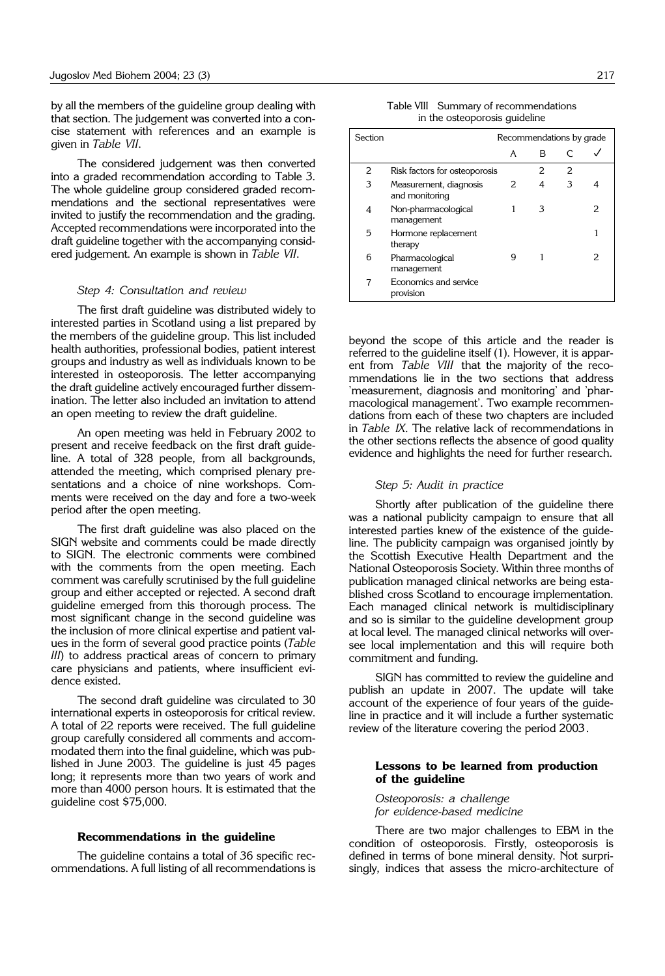by all the members of the guideline group dealing with that section. The judgement was converted into a concise statement with references and an example is given in *Table VII*.

The considered judgement was then converted into a graded recommendation according to Table 3. The whole guideline group considered graded recommendations and the sectional representatives were invited to justify the recommendation and the grading. Accepted recommendations were incorporated into the draft guideline together with the accompanying considered judgement. An example is shown in *Table VII*.

#### *Step 4: Consultation and review*

The first draft guideline was distributed widely to interested parties in Scotland using a list prepared by the members of the guideline group. This list included health authorities, professional bodies, patient interest groups and industry as well as individuals known to be interested in osteoporosis. The letter accompanying the draft guideline actively encouraged further dissemination. The letter also included an invitation to attend an open meeting to review the draft guideline.

An open meeting was held in February 2002 to present and receive feedback on the first draft guideline. A total of 328 people, from all backgrounds, attended the meeting, which comprised plenary presentations and a choice of nine workshops. Comments were received on the day and fore a two-week period after the open meeting.

The first draft guideline was also placed on the SIGN website and comments could be made directly to SIGN. The electronic comments were combined with the comments from the open meeting. Each comment was carefully scrutinised by the full guideline group and either accepted or rejected. A second draft guideline emerged from this thorough process. The most significant change in the second guideline was the inclusion of more clinical expertise and patient values in the form of several good practice points (*Table III*) to address practical areas of concern to primary care physicians and patients, where insufficient evidence existed.

The second draft guideline was circulated to 30 international experts in osteoporosis for critical review. A total of 22 reports were received. The full guideline group carefully considered all comments and accommodated them into the final guideline, which was published in June 2003. The guideline is just 45 pages long; it represents more than two years of work and more than 4000 person hours. It is estimated that the guideline cost \$75,000.

## **Recommendations in the guideline**

The guideline contains a total of 36 specific recommendations. A full listing of all recommendations is

| Table VIII Summary of recommendations |
|---------------------------------------|

| in the osteoporosis guideline |  |
|-------------------------------|--|
|-------------------------------|--|

| Section | Recommendations by grade                 |   |   |   |   |
|---------|------------------------------------------|---|---|---|---|
|         |                                          | A | в |   |   |
| 2       | Risk factors for osteoporosis            |   | 2 | 2 |   |
| 3       | Measurement, diagnosis<br>and monitoring | 2 | 4 | 3 |   |
| 4       | Non-pharmacological<br>management        |   | З |   | フ |
| 5       | Hormone replacement<br>therapy           |   |   |   |   |
| 6       | Pharmacological<br>management            | 9 | 1 |   |   |
| 7       | Economics and service<br>provision       |   |   |   |   |

beyond the scope of this article and the reader is referred to the guideline itself (1). However, it is apparent from *Table VIII* that the majority of the recommendations lie in the two sections that address 'measurement, diagnosis and monitoring' and 'pharmacological management'. Two example recommendations from each of these two chapters are included in *Table IX*. The relative lack of recommendations in the other sections reflects the absence of good quality evidence and highlights the need for further research.

#### *Step 5: Audit in practice*

Shortly after publication of the guideline there was a national publicity campaign to ensure that all interested parties knew of the existence of the guideline. The publicity campaign was organised jointly by the Scottish Executive Health Department and the National Osteoporosis Society. Within three months of publication managed clinical networks are being established cross Scotland to encourage implementation. Each managed clinical network is multidisciplinary and so is similar to the guideline development group at local level. The managed clinical networks will oversee local implementation and this will require both commitment and funding.

SIGN has committed to review the guideline and publish an update in 2007. The update will take account of the experience of four years of the guideline in practice and it will include a further systematic review of the literature covering the period 2003.

#### **Lessons to be learned from production of the guideline**

*Osteoporosis: a challenge for evidence*-*based medicine*

There are two major challenges to EBM in the condition of osteoporosis. Firstly, osteoporosis is defined in terms of bone mineral density. Not surprisingly, indices that assess the micro-architecture of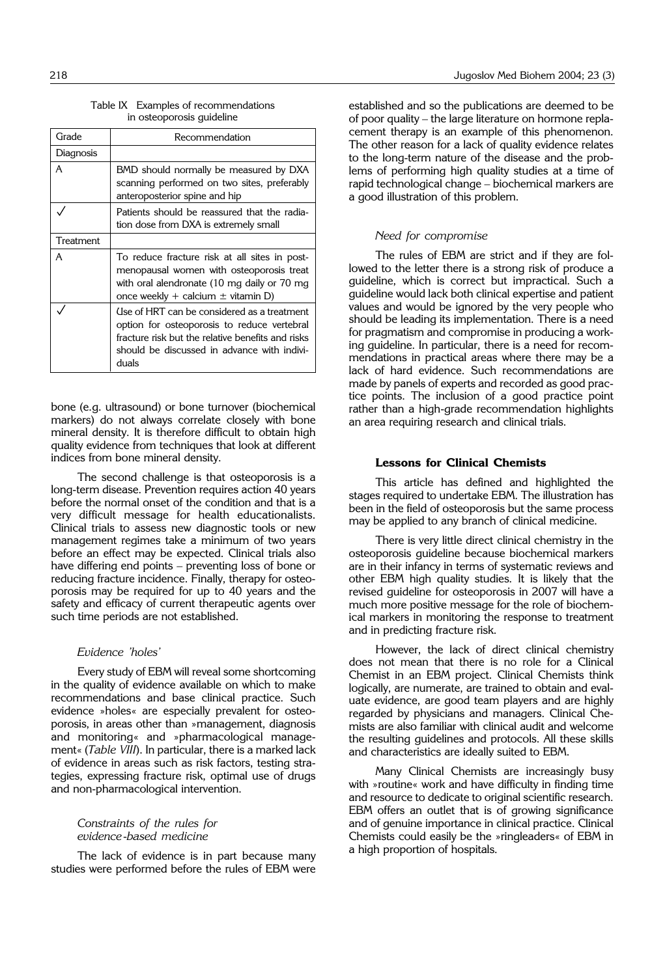|                           | Table IX Examples of recommendations |
|---------------------------|--------------------------------------|
| in osteoporosis guideline |                                      |

| Grade     | Recommendation                                                                                                                                                                                          |
|-----------|---------------------------------------------------------------------------------------------------------------------------------------------------------------------------------------------------------|
| Diagnosis |                                                                                                                                                                                                         |
| A         | BMD should normally be measured by DXA<br>scanning performed on two sites, preferably<br>anteroposterior spine and hip                                                                                  |
|           | Patients should be reassured that the radia-<br>tion dose from DXA is extremely small                                                                                                                   |
| Treatment |                                                                                                                                                                                                         |
| А         | To reduce fracture risk at all sites in post-<br>menopausal women with osteoporosis treat<br>with oral alendronate (10 mg daily or 70 mg<br>once weekly + calcium $\pm$ vitamin D)                      |
|           | Use of HRT can be considered as a treatment<br>option for osteoporosis to reduce vertebral<br>fracture risk but the relative benefits and risks<br>should be discussed in advance with indivi-<br>duals |

bone (e.g. ultrasound) or bone turnover (biochemical markers) do not always correlate closely with bone mineral density. It is therefore difficult to obtain high quality evidence from techniques that look at different indices from bone mineral density.

The second challenge is that osteoporosis is a long-term disease. Prevention requires action 40 years before the normal onset of the condition and that is a very difficult message for health educationalists. Clinical trials to assess new diagnostic tools or new management regimes take a minimum of two years before an effect may be expected. Clinical trials also have differing end points – preventing loss of bone or reducing fracture incidence. Finally, therapy for osteoporosis may be required for up to 40 years and the safety and efficacy of current therapeutic agents over such time periods are not established.

## *Evidence 'holes'*

Every study of EBM will reveal some shortcoming in the quality of evidence available on which to make recommendations and base clinical practice. Such evidence »holes« are especially prevalent for osteoporosis, in areas other than »management, diagnosis and monitoring« and »pharmacological management« (*Table VIII*). In particular, there is a marked lack of evidence in areas such as risk factors, testing strategies, expressing fracture risk, optimal use of drugs and non-pharmacological intervention.

## *Constraints of the rules for evidence*-*based medicine*

The lack of evidence is in part because many studies were performed before the rules of EBM were established and so the publications are deemed to be of poor quality – the large literature on hormone replacement therapy is an example of this phenomenon. The other reason for a lack of quality evidence relates to the long-term nature of the disease and the problems of performing high quality studies at a time of rapid technological change – biochemical markers are a good illustration of this problem.

## *Need for compromise*

The rules of EBM are strict and if they are followed to the letter there is a strong risk of produce a guideline, which is correct but impractical. Such a guideline would lack both clinical expertise and patient values and would be ignored by the very people who should be leading its implementation. There is a need for pragmatism and compromise in producing a working guideline. In particular, there is a need for recommendations in practical areas where there may be a lack of hard evidence. Such recommendations are made by panels of experts and recorded as good practice points. The inclusion of a good practice point rather than a high-grade recommendation highlights an area requiring research and clinical trials.

## **Lessons for Clinical Chemists**

This article has defined and highlighted the stages required to undertake EBM. The illustration has been in the field of osteoporosis but the same process may be applied to any branch of clinical medicine.

There is very little direct clinical chemistry in the osteoporosis guideline because biochemical markers are in their infancy in terms of systematic reviews and other EBM high quality studies. It is likely that the revised guideline for osteoporosis in 2007 will have a much more positive message for the role of biochemical markers in monitoring the response to treatment and in predicting fracture risk.

However, the lack of direct clinical chemistry does not mean that there is no role for a Clinical Chemist in an EBM project. Clinical Chemists think logically, are numerate, are trained to obtain and evaluate evidence, are good team players and are highly regarded by physicians and managers. Clinical Chemists are also familiar with clinical audit and welcome the resulting guidelines and protocols. All these skills and characteristics are ideally suited to EBM.

Many Clinical Chemists are increasingly busy with »routine« work and have difficulty in finding time and resource to dedicate to original scientific research. EBM offers an outlet that is of growing significance and of genuine importance in clinical practice. Clinical Chemists could easily be the »ringleaders« of EBM in a high proportion of hospitals.